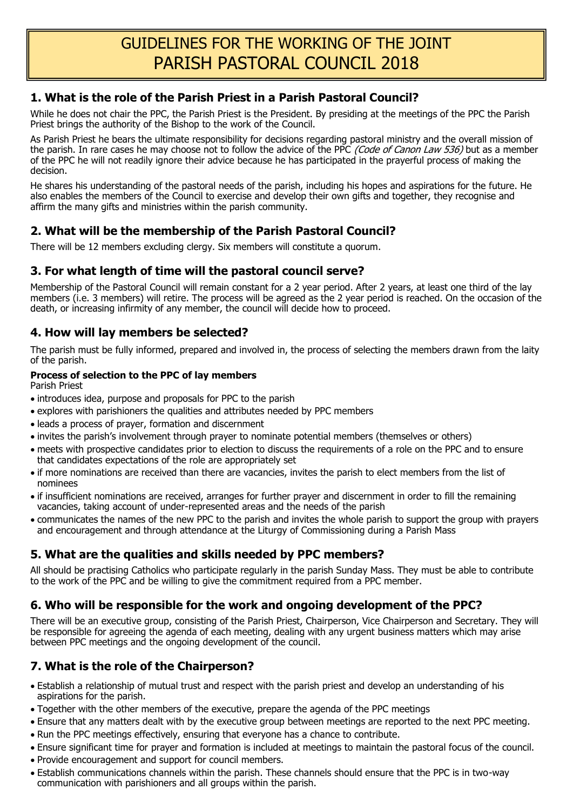## **1. What is the role of the Parish Priest in a Parish Pastoral Council?**

While he does not chair the PPC, the Parish Priest is the President. By presiding at the meetings of the PPC the Parish Priest brings the authority of the Bishop to the work of the Council.

As Parish Priest he bears the ultimate responsibility for decisions regarding pastoral ministry and the overall mission of the parish. In rare cases he may choose not to follow the advice of the PPC (Code of Canon Law 536) but as a member of the PPC he will not readily ignore their advice because he has participated in the prayerful process of making the decision.

He shares his understanding of the pastoral needs of the parish, including his hopes and aspirations for the future. He also enables the members of the Council to exercise and develop their own gifts and together, they recognise and affirm the many gifts and ministries within the parish community.

# **2. What will be the membership of the Parish Pastoral Council?**

There will be 12 members excluding clergy. Six members will constitute a quorum.

### **3. For what length of time will the pastoral council serve?**

Membership of the Pastoral Council will remain constant for a 2 year period. After 2 years, at least one third of the lay members (i.e. 3 members) will retire. The process will be agreed as the 2 year period is reached. On the occasion of the death, or increasing infirmity of any member, the council will decide how to proceed.

## **4. How will lay members be selected?**

The parish must be fully informed, prepared and involved in, the process of selecting the members drawn from the laity of the parish.

#### **Process of selection to the PPC of lay members**

Parish Priest

- introduces idea, purpose and proposals for PPC to the parish
- explores with parishioners the qualities and attributes needed by PPC members
- leads a process of prayer, formation and discernment
- invites the parish's involvement through prayer to nominate potential members (themselves or others)
- meets with prospective candidates prior to election to discuss the requirements of a role on the PPC and to ensure that candidates expectations of the role are appropriately set
- if more nominations are received than there are vacancies, invites the parish to elect members from the list of nominees
- if insufficient nominations are received, arranges for further prayer and discernment in order to fill the remaining vacancies, taking account of under-represented areas and the needs of the parish
- communicates the names of the new PPC to the parish and invites the whole parish to support the group with prayers and encouragement and through attendance at the Liturgy of Commissioning during a Parish Mass

## **5. What are the qualities and skills needed by PPC members?**

All should be practising Catholics who participate regularly in the parish Sunday Mass. They must be able to contribute to the work of the PPC and be willing to give the commitment required from a PPC member.

## **6. Who will be responsible for the work and ongoing development of the PPC?**

There will be an executive group, consisting of the Parish Priest, Chairperson, Vice Chairperson and Secretary. They will be responsible for agreeing the agenda of each meeting, dealing with any urgent business matters which may arise between PPC meetings and the ongoing development of the council.

## **7. What is the role of the Chairperson?**

- Establish a relationship of mutual trust and respect with the parish priest and develop an understanding of his aspirations for the parish.
- Together with the other members of the executive, prepare the agenda of the PPC meetings
- Ensure that any matters dealt with by the executive group between meetings are reported to the next PPC meeting.
- Run the PPC meetings effectively, ensuring that everyone has a chance to contribute.
- Ensure significant time for prayer and formation is included at meetings to maintain the pastoral focus of the council.
- Provide encouragement and support for council members.
- Establish communications channels within the parish. These channels should ensure that the PPC is in two-way communication with parishioners and all groups within the parish.